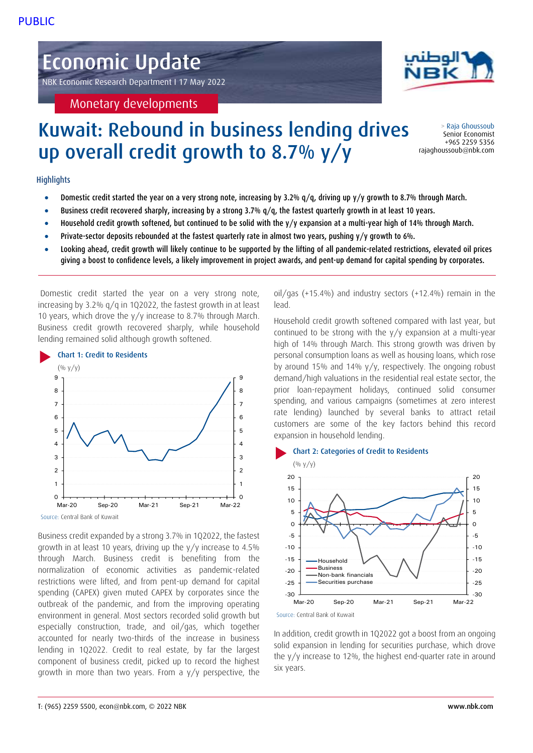# Economic Update

NBK Economic Research Department I 17 May 2022

Monetary developments

# Kuwait: Rebound in business lending drives up overall credit growth to 8.7% y/y

## **Highlights**

- **Domestic credit started the year on a very strong note, increasing by 3.2%**  $q/q$ **, driving up y/y growth to 8.7% through March.**
- Business credit recovered sharply, increasing by a strong 3.7% q/q, the fastest quarterly growth in at least 10 years.
- Household credit growth softened, but continued to be solid with the y/y expansion at a multi-year high of 14% through March.
- Private-sector deposits rebounded at the fastest quarterly rate in almost two years, pushing y/y growth to 6%.
- Looking ahead, credit growth will likely continue to be supported by the lifting of all pandemic-related restrictions, elevated oil prices giving a boost to confidence levels, a likely improvement in project awards, and pent-up demand for capital spending by corporates.

Domestic credit started the year on a very strong note, increasing by 3.2% q/q in 1Q2022, the fastest growth in at least 10 years, which drove the y/y increase to 8.7% through March. Business credit growth recovered sharply, while household lending remained solid although growth softened.



Business credit expanded by a strong 3.7% in 1Q2022, the fastest growth in at least 10 years, driving up the y/y increase to 4.5% through March. Business credit is benefiting from the normalization of economic activities as pandemic-related restrictions were lifted, and from pent-up demand for capital spending (CAPEX) given muted CAPEX by corporates since the outbreak of the pandemic, and from the improving operating environment in general. Most sectors recorded solid growth but especially construction, trade, and oil/gas, which together accounted for nearly two-thirds of the increase in business lending in 1Q2022. Credit to real estate, by far the largest component of business credit, picked up to record the highest growth in more than two years. From a y/y perspective, the oil/gas (+15.4%) and industry sectors (+12.4%) remain in the lead.

Household credit growth softened compared with last year, but continued to be strong with the y/y expansion at a multi-year high of 14% through March. This strong growth was driven by personal consumption loans as well as housing loans, which rose by around 15% and 14% y/y, respectively. The ongoing robust demand/high valuations in the residential real estate sector, the prior loan-repayment holidays, continued solid consumer spending, and various campaigns (sometimes at zero interest rate lending) launched by several banks to attract retail customers are some of the key factors behind this record expansion in household lending.



Source: Central Bank of Kuwait

In addition, credit growth in 1Q2022 got a boost from an ongoing solid expansion in lending for securities purchase, which drove the y/y increase to 12%, the highest end-quarter rate in around six years.



> Raja Ghoussoub Senior Economist +965 2259 5356 rajaghoussoub@nbk.com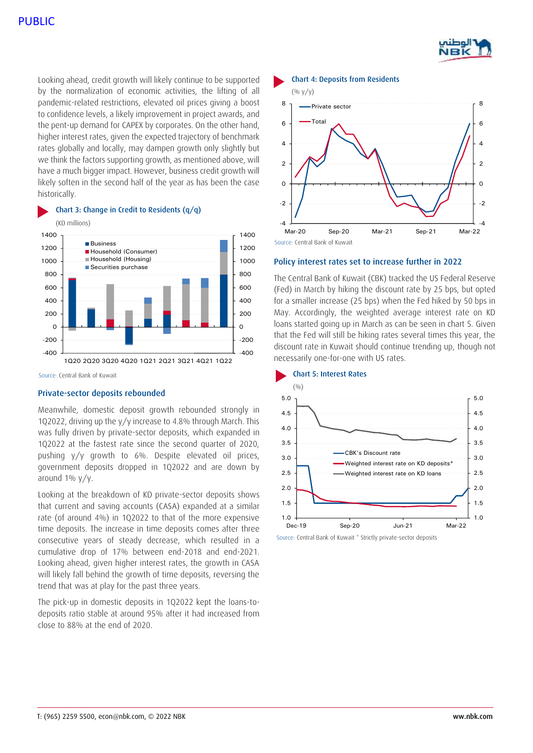

-4

- 2

 $\overline{0}$ 

2

4

6

8

Looking ahead, credit growth will likely continue to be supported by the normalization of economic activities, the lifting of all pandemic-related restrictions, elevated oil prices giving a boost to confidence levels, a likely improvement in project awards, and the pent-up demand for CAPEX by corporates. On the other hand, higher interest rates, given the expected trajectory of benchmark rates globally and locally, may dampen growth only slightly but we think the factors supporting growth, as mentioned above, will have a much bigger impact. However, business credit growth will likely soften in the second half of the year as has been the case historically.



Private-sector deposits rebounded

Meanwhile, domestic deposit growth rebounded strongly in 1Q2022, driving up the y/y increase to 4.8% through March. This was fully driven by private-sector deposits, which expanded in 1Q2022 at the fastest rate since the second quarter of 2020, pushing y/y growth to 6%. Despite elevated oil prices, government deposits dropped in 1Q2022 and are down by around  $1\%$  y/y.

Looking at the breakdown of KD private-sector deposits shows that current and saving accounts (CASA) expanded at a similar rate (of around 4%) in 1Q2022 to that of the more expensive time deposits. The increase in time deposits comes after three consecutive years of steady decrease, which resulted in a cumulative drop of 17% between end-2018 and end-2021. Looking ahead, given higher interest rates, the growth in CASA will likely fall behind the growth of time deposits, reversing the trend that was at play for the past three years.

The pick-up in domestic deposits in 1Q2022 kept the loans-todeposits ratio stable at around 95% after it had increased from close to 88% at the end of 2020.



Source: Central Bank of Kuwait Mar-20 Sep-20 Mar-21 Sep-21 Mar-22

-4

#### Policy interest rates set to increase further in 2022

The Central Bank of Kuwait (CBK) tracked the US Federal Reserve (Fed) in March by hiking the discount rate by 25 bps, but opted for a smaller increase (25 bps) when the Fed hiked by 50 bps in May. Accordingly, the weighted average interest rate on KD loans started going up in March as can be seen in chart 5. Given that the Fed will still be hiking rates several times this year, the discount rate in Kuwait should continue trending up, though not necessarily one-for-one with US rates.



Source: Central Bank of Kuwait \* Strictly private-sector deposits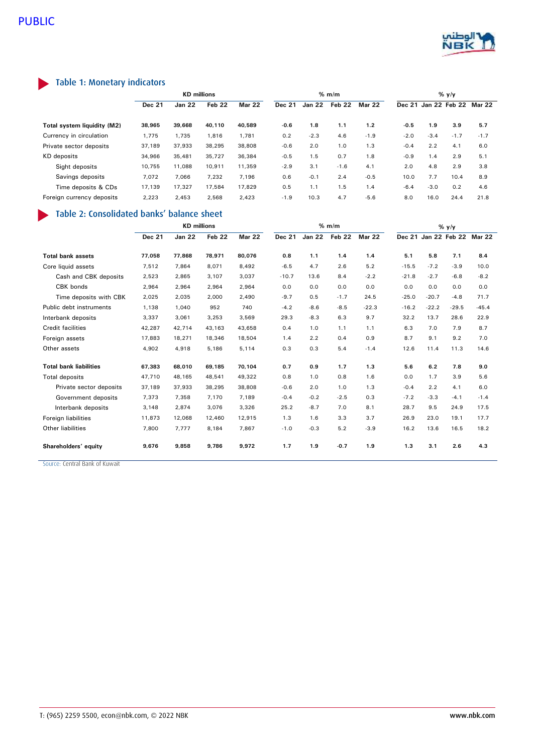

## Table 1: Monetary indicators

|                             | <b>KD</b> millions |               |                   |               | % m/m  |               |        |               | $%$ y/y |        |                      |        |
|-----------------------------|--------------------|---------------|-------------------|---------------|--------|---------------|--------|---------------|---------|--------|----------------------|--------|
|                             | <b>Dec 21</b>      | <b>Jan 22</b> | Feb <sub>22</sub> | <b>Mar 22</b> | Dec 21 | <b>Jan 22</b> | Feb 22 | <b>Mar 22</b> |         |        | Dec 21 Jan 22 Feb 22 | Mar 22 |
| Total system liquidity (M2) | 38,965             | 39,668        | 40.110            | 40.589        | $-0.6$ | 1.8           | 1.1    | 1.2           | $-0.5$  | 1.9    | 3.9                  | 5.7    |
| Currency in circulation     | 1,775              | 1,735         | 1,816             | 1,781         | 0.2    | $-2.3$        | 4.6    | $-1.9$        | $-2.0$  | $-3.4$ | $-1.7$               | $-1.7$ |
| Private sector deposits     | 37,189             | 37,933        | 38,295            | 38,808        | $-0.6$ | 2.0           | 1.0    | 1.3           | $-0.4$  | 2.2    | 4.1                  | 6.0    |
| <b>KD</b> deposits          | 34,966             | 35,481        | 35,727            | 36,384        | $-0.5$ | 1.5           | 0.7    | 1.8           | $-0.9$  | 1.4    | 2.9                  | 5.1    |
| Sight deposits              | 10.755             | 11.088        | 10.911            | 11,359        | $-2.9$ | 3.1           | $-1.6$ | 4.1           | 2.0     | 4.8    | 2.9                  | 3.8    |
| Savings deposits            | 7,072              | 7,066         | 7,232             | 7,196         | 0.6    | $-0.1$        | 2.4    | $-0.5$        | 10.0    | 7.7    | 10.4                 | 8.9    |
| Time deposits & CDs         | 17,139             | 17,327        | 17,584            | 17.829        | 0.5    | 1.1           | 1.5    | 1.4           | $-6.4$  | $-3.0$ | 0.2                  | 4.6    |
| Foreign currency deposits   | 2,223              | 2,453         | 2,568             | 2,423         | $-1.9$ | 10.3          | 4.7    | $-5.6$        | 8.0     | 16.0   | 24.4                 | 21.8   |

## Table 2: Consolidated banks' balance sheet

|                               | <b>KD</b> millions |               |        |               | % m/m         |               |        |               | $%$ y/y |                      |         |               |
|-------------------------------|--------------------|---------------|--------|---------------|---------------|---------------|--------|---------------|---------|----------------------|---------|---------------|
|                               | <b>Dec 21</b>      | <b>Jan 22</b> | Feb 22 | <b>Mar 22</b> | <b>Dec 21</b> | <b>Jan 22</b> | Feb 22 | <b>Mar 22</b> |         | Dec 21 Jan 22 Feb 22 |         | <b>Mar 22</b> |
| <b>Total bank assets</b>      | 77,058             | 77,868        | 78,971 | 80.076        | 0.8           | 1.1           | 1.4    | 1.4           | 5.1     | 5.8                  | 7.1     | 8.4           |
| Core liquid assets            | 7,512              | 7,864         | 8,071  | 8,492         | $-6.5$        | 4.7           | 2.6    | 5.2           | $-15.5$ | $-7.2$               | $-3.9$  | 10.0          |
| Cash and CBK deposits         | 2,523              | 2,865         | 3,107  | 3,037         | $-10.7$       | 13.6          | 8.4    | $-2.2$        | $-21.8$ | $-2.7$               | $-6.8$  | $-8.2$        |
| CBK bonds                     | 2,964              | 2,964         | 2,964  | 2,964         | 0.0           | 0.0           | 0.0    | 0.0           | 0.0     | 0.0                  | 0.0     | 0.0           |
| Time deposits with CBK        | 2,025              | 2,035         | 2,000  | 2,490         | $-9.7$        | 0.5           | $-1.7$ | 24.5          | $-25.0$ | $-20.7$              | $-4.8$  | 71.7          |
| Public debt instruments       | 1,138              | 1,040         | 952    | 740           | $-4.2$        | $-8.6$        | $-8.5$ | $-22.3$       | $-16.2$ | $-22.2$              | $-29.5$ | $-45.4$       |
| Interbank deposits            | 3,337              | 3,061         | 3,253  | 3,569         | 29.3          | $-8.3$        | 6.3    | 9.7           | 32.2    | 13.7                 | 28.6    | 22.9          |
| <b>Credit facilities</b>      | 42,287             | 42,714        | 43,163 | 43,658        | 0.4           | 1.0           | 1.1    | 1.1           | 6.3     | 7.0                  | 7.9     | 8.7           |
| Foreign assets                | 17,883             | 18,271        | 18,346 | 18,504        | 1.4           | 2.2           | 0.4    | 0.9           | 8.7     | 9.1                  | 9.2     | 7.0           |
| Other assets                  | 4,902              | 4,918         | 5,186  | 5.114         | 0.3           | 0.3           | 5.4    | $-1.4$        | 12.6    | 11.4                 | 11.3    | 14.6          |
| <b>Total bank liabilities</b> | 67,383             | 68,010        | 69,185 | 70,104        | 0.7           | 0.9           | 1.7    | 1.3           | 5.6     | 6.2                  | 7.8     | 9.0           |
| <b>Total deposits</b>         | 47,710             | 48,165        | 48,541 | 49,322        | 0.8           | 1.0           | 0.8    | 1.6           | 0.0     | 1.7                  | 3.9     | 5.6           |
| Private sector deposits       | 37,189             | 37,933        | 38,295 | 38,808        | $-0.6$        | 2.0           | 1.0    | 1.3           | $-0.4$  | 2.2                  | 4.1     | 6.0           |
| Government deposits           | 7,373              | 7,358         | 7,170  | 7,189         | $-0.4$        | $-0.2$        | $-2.5$ | 0.3           | $-7.2$  | $-3.3$               | $-4.1$  | $-1.4$        |
| Interbank deposits            | 3,148              | 2,874         | 3,076  | 3,326         | 25.2          | $-8.7$        | 7.0    | 8.1           | 28.7    | 9.5                  | 24.9    | 17.5          |
| Foreign liabilities           | 11,873             | 12.068        | 12,460 | 12,915        | 1.3           | 1.6           | 3.3    | 3.7           | 26.9    | 23.0                 | 19.1    | 17.7          |
| Other liabilities             | 7,800              | 7,777         | 8,184  | 7.867         | $-1.0$        | $-0.3$        | 5.2    | $-3.9$        | 16.2    | 13.6                 | 16.5    | 18.2          |
| Shareholders' equity          | 9,676              | 9,858         | 9.786  | 9,972         | 1.7           | 1.9           | $-0.7$ | 1.9           | 1.3     | 3.1                  | 2.6     | 4.3           |

Source: Central Bank of Kuwait